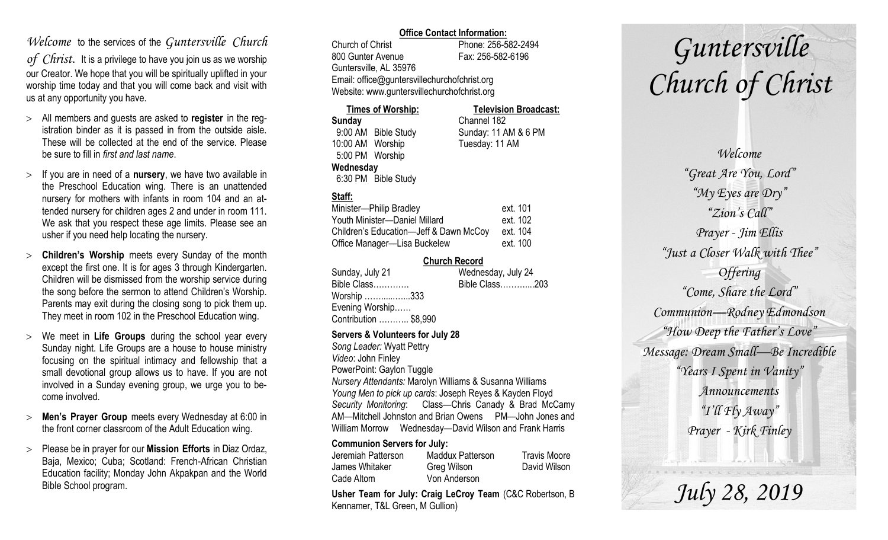# *Welcome* to the services of the *Guntersville Church*

*of Christ*. It is a privilege to have you join us as we worship our Creator. We hope that you will be spiritually uplifted in your worship time today and that you will come back and visit with us at any opportunity you have.

- All members and guests are asked to **register** in the registration binder as it is passed in from the outside aisle. These will be collected at the end of the service. Please be sure to fill in *first and last name*.
- $>$  If you are in need of a **nursery**, we have two available in the Preschool Education wing. There is an unattended nursery for mothers with infants in room 104 and an attended nursery for children ages 2 and under in room 111. We ask that you respect these age limits. Please see an usher if you need help locating the nursery.
- **Children's Worship** meets every Sunday of the month except the first one. It is for ages 3 through Kindergarten. Children will be dismissed from the worship service during the song before the sermon to attend Children's Worship. Parents may exit during the closing song to pick them up. They meet in room 102 in the Preschool Education wing.
- We meet in **Life Groups** during the school year every Sunday night. Life Groups are a house to house ministry focusing on the spiritual intimacy and fellowship that a small devotional group allows us to have. If you are not involved in a Sunday evening group, we urge you to become involved.
- **Men's Prayer Group** meets every Wednesday at 6:00 in the front corner classroom of the Adult Education wing.
- Please be in prayer for our **Mission Efforts** in Diaz Ordaz, Baja, Mexico; Cuba; Scotland: French-African Christian Education facility; Monday John Akpakpan and the World Bible School program.

### **Office Contact Information:**

Church of Christ Phone: 256-582-2494 800 Gunter Avenue Fax: 256-582-6196 Guntersville, AL 35976 Email: office@guntersvillechurchofchrist.org Website: www.guntersvillechurchofchrist.org

#### **Times of Worship: Television Broadcast: Sunday** Channel 182 9:00 AM Bible Study Sunday: 11 AM & 6 PM 10:00 AM Worship Tuesday: 11 AM 5:00 PM Worship **Wednesday** 6:30 PM Bible Study

# **Staff:**

| Minister-Philip Bradley                | ext. 101 |
|----------------------------------------|----------|
| Youth Minister-Daniel Millard          | ext. 102 |
| Children's Education-Jeff & Dawn McCoy | ext. 104 |
| Office Manager-Lisa Buckelew           | ext. 100 |

### **Church Record**

| Sunday, July 21       | Wednesday, July 24 |
|-----------------------|--------------------|
| Bible Class           | Bible Class203     |
| Worship 333           |                    |
| Evening Worship       |                    |
| Contribution  \$8,990 |                    |
|                       |                    |

### **Servers & Volunteers for July 28**

*Song Leader:* Wyatt Pettry *Video*: John Finley PowerPoint: Gaylon Tuggle *Nursery Attendants:* Marolyn Williams & Susanna Williams *Young Men to pick up cards*: Joseph Reyes & Kayden Floyd *Security Monitoring*: Class—Chris Canady & Brad McCamy AM—Mitchell Johnston and Brian Owens PM—John Jones and William Morrow Wednesday—David Wilson and Frank Harris

### **Communion Servers for July:**

| Jeremiah Patterson | Maddux Patterson | <b>Travis Moore</b> |
|--------------------|------------------|---------------------|
| James Whitaker     | Greg Wilson      | David Wilson        |
| Cade Altom         | Von Anderson     |                     |

**Usher Team for July: Craig LeCroy Team** (C&C Robertson, B Kennamer, T&L Green, M Gullion)

# *Guntersville Church of Christ*

*Welcome "Great Are You, Lord" "My Eyes are Dry" "Zion's Call" Prayer - Jim Ellis "Just a Closer Walk with Thee" Offering "Come, Share the Lord" Communion—Rodney Edmondson "How Deep the Father's Love" Message: Dream Small—Be Incredible "Years I Spent in Vanity" Announcements "I'll Fly Away" Prayer - Kirk Finley*

*July 28, 2019*